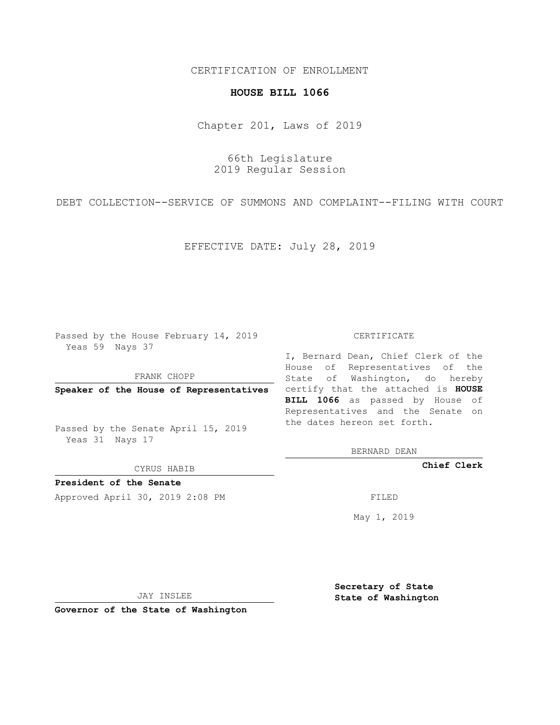## CERTIFICATION OF ENROLLMENT

## **HOUSE BILL 1066**

Chapter 201, Laws of 2019

66th Legislature 2019 Regular Session

DEBT COLLECTION--SERVICE OF SUMMONS AND COMPLAINT--FILING WITH COURT

EFFECTIVE DATE: July 28, 2019

Passed by the House February 14, 2019 Yeas 59 Nays 37

FRANK CHOPP

Passed by the Senate April 15, 2019 Yeas 31 Nays 17

CYRUS HABIB

**President of the Senate**

Approved April 30, 2019 2:08 PM FILED

## CERTIFICATE

**Speaker of the House of Representatives** certify that the attached is **HOUSE** I, Bernard Dean, Chief Clerk of the House of Representatives of the State of Washington, do hereby **BILL 1066** as passed by House of Representatives and the Senate on the dates hereon set forth.

BERNARD DEAN

**Chief Clerk**

May 1, 2019

JAY INSLEE

**Governor of the State of Washington**

**Secretary of State State of Washington**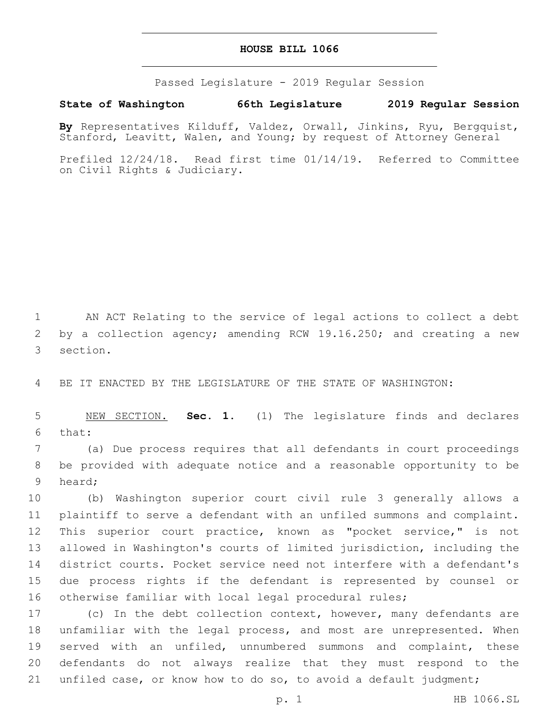## **HOUSE BILL 1066**

Passed Legislature - 2019 Regular Session

**State of Washington 66th Legislature 2019 Regular Session**

**By** Representatives Kilduff, Valdez, Orwall, Jinkins, Ryu, Bergquist, Stanford, Leavitt, Walen, and Young; by request of Attorney General

Prefiled 12/24/18. Read first time 01/14/19. Referred to Committee on Civil Rights & Judiciary.

1 AN ACT Relating to the service of legal actions to collect a debt 2 by a collection agency; amending RCW 19.16.250; and creating a new 3 section.

4 BE IT ENACTED BY THE LEGISLATURE OF THE STATE OF WASHINGTON:

5 NEW SECTION. **Sec. 1.** (1) The legislature finds and declares 6 that:

7 (a) Due process requires that all defendants in court proceedings 8 be provided with adequate notice and a reasonable opportunity to be 9 heard;

 (b) Washington superior court civil rule 3 generally allows a plaintiff to serve a defendant with an unfiled summons and complaint. This superior court practice, known as "pocket service," is not allowed in Washington's courts of limited jurisdiction, including the district courts. Pocket service need not interfere with a defendant's due process rights if the defendant is represented by counsel or otherwise familiar with local legal procedural rules;

17 (c) In the debt collection context, however, many defendants are 18 unfamiliar with the legal process, and most are unrepresented. When 19 served with an unfiled, unnumbered summons and complaint, these 20 defendants do not always realize that they must respond to the 21 unfiled case, or know how to do so, to avoid a default judgment;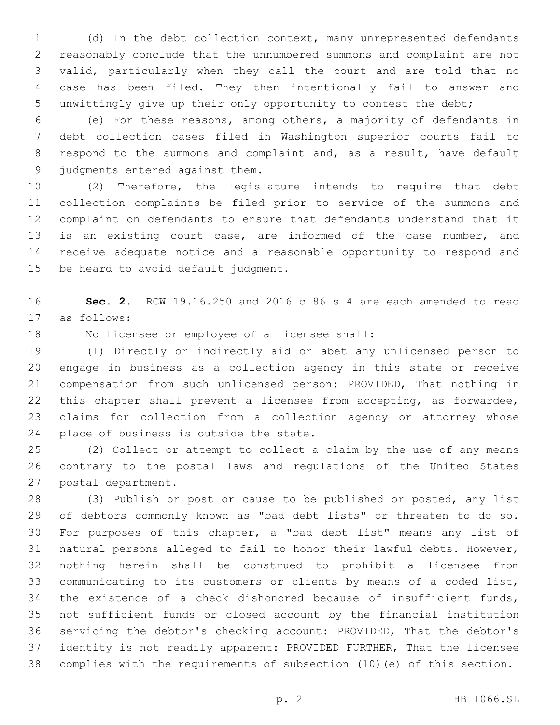(d) In the debt collection context, many unrepresented defendants reasonably conclude that the unnumbered summons and complaint are not valid, particularly when they call the court and are told that no case has been filed. They then intentionally fail to answer and unwittingly give up their only opportunity to contest the debt;

 (e) For these reasons, among others, a majority of defendants in debt collection cases filed in Washington superior courts fail to respond to the summons and complaint and, as a result, have default 9 judgments entered against them.

 (2) Therefore, the legislature intends to require that debt collection complaints be filed prior to service of the summons and complaint on defendants to ensure that defendants understand that it is an existing court case, are informed of the case number, and receive adequate notice and a reasonable opportunity to respond and 15 be heard to avoid default judgment.

 **Sec. 2.** RCW 19.16.250 and 2016 c 86 s 4 are each amended to read 17 as follows:

18 No licensee or employee of a licensee shall:

 (1) Directly or indirectly aid or abet any unlicensed person to engage in business as a collection agency in this state or receive compensation from such unlicensed person: PROVIDED, That nothing in this chapter shall prevent a licensee from accepting, as forwardee, claims for collection from a collection agency or attorney whose 24 place of business is outside the state.

 (2) Collect or attempt to collect a claim by the use of any means contrary to the postal laws and regulations of the United States 27 postal department.

 (3) Publish or post or cause to be published or posted, any list of debtors commonly known as "bad debt lists" or threaten to do so. For purposes of this chapter, a "bad debt list" means any list of natural persons alleged to fail to honor their lawful debts. However, nothing herein shall be construed to prohibit a licensee from communicating to its customers or clients by means of a coded list, the existence of a check dishonored because of insufficient funds, not sufficient funds or closed account by the financial institution servicing the debtor's checking account: PROVIDED, That the debtor's identity is not readily apparent: PROVIDED FURTHER, That the licensee complies with the requirements of subsection (10)(e) of this section.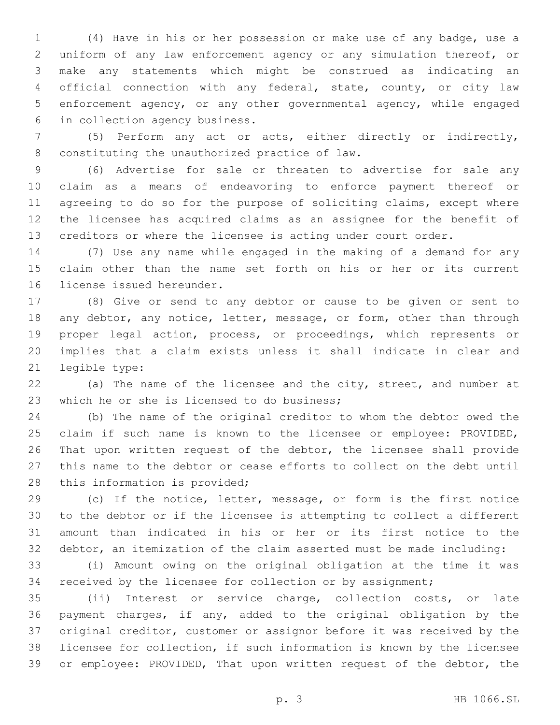(4) Have in his or her possession or make use of any badge, use a uniform of any law enforcement agency or any simulation thereof, or make any statements which might be construed as indicating an official connection with any federal, state, county, or city law enforcement agency, or any other governmental agency, while engaged 6 in collection agency business.

 (5) Perform any act or acts, either directly or indirectly, 8 constituting the unauthorized practice of law.

 (6) Advertise for sale or threaten to advertise for sale any claim as a means of endeavoring to enforce payment thereof or agreeing to do so for the purpose of soliciting claims, except where the licensee has acquired claims as an assignee for the benefit of creditors or where the licensee is acting under court order.

 (7) Use any name while engaged in the making of a demand for any claim other than the name set forth on his or her or its current 16 license issued hereunder.

 (8) Give or send to any debtor or cause to be given or sent to 18 any debtor, any notice, letter, message, or form, other than through proper legal action, process, or proceedings, which represents or implies that a claim exists unless it shall indicate in clear and 21 legible type:

 (a) The name of the licensee and the city, street, and number at 23 which he or she is licensed to do business;

 (b) The name of the original creditor to whom the debtor owed the claim if such name is known to the licensee or employee: PROVIDED, That upon written request of the debtor, the licensee shall provide this name to the debtor or cease efforts to collect on the debt until 28 this information is provided;

 (c) If the notice, letter, message, or form is the first notice to the debtor or if the licensee is attempting to collect a different amount than indicated in his or her or its first notice to the debtor, an itemization of the claim asserted must be made including:

 (i) Amount owing on the original obligation at the time it was received by the licensee for collection or by assignment;

 (ii) Interest or service charge, collection costs, or late payment charges, if any, added to the original obligation by the original creditor, customer or assignor before it was received by the licensee for collection, if such information is known by the licensee or employee: PROVIDED, That upon written request of the debtor, the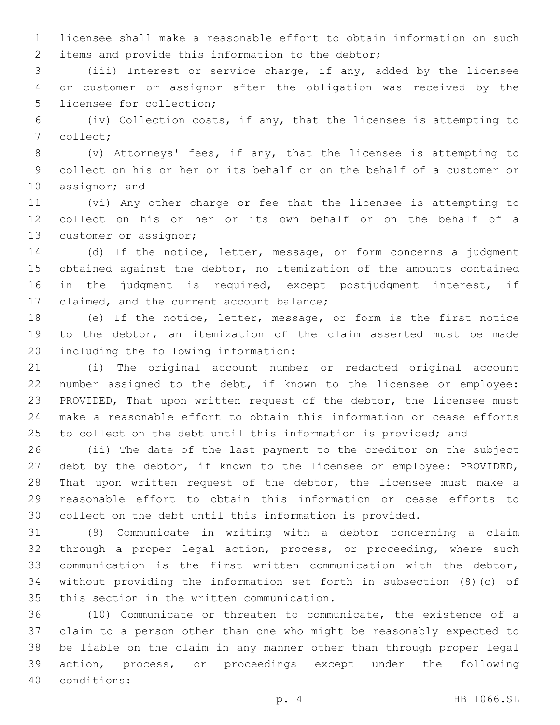licensee shall make a reasonable effort to obtain information on such 2 items and provide this information to the debtor;

 (iii) Interest or service charge, if any, added by the licensee or customer or assignor after the obligation was received by the 5 licensee for collection;

 (iv) Collection costs, if any, that the licensee is attempting to 7 collect;

 (v) Attorneys' fees, if any, that the licensee is attempting to collect on his or her or its behalf or on the behalf of a customer or 10 assignor; and

 (vi) Any other charge or fee that the licensee is attempting to collect on his or her or its own behalf or on the behalf of a 13 customer or assignor;

 (d) If the notice, letter, message, or form concerns a judgment obtained against the debtor, no itemization of the amounts contained in the judgment is required, except postjudgment interest, if 17 claimed, and the current account balance;

 (e) If the notice, letter, message, or form is the first notice to the debtor, an itemization of the claim asserted must be made 20 including the following information:

 (i) The original account number or redacted original account number assigned to the debt, if known to the licensee or employee: PROVIDED, That upon written request of the debtor, the licensee must make a reasonable effort to obtain this information or cease efforts to collect on the debt until this information is provided; and

 (ii) The date of the last payment to the creditor on the subject debt by the debtor, if known to the licensee or employee: PROVIDED, That upon written request of the debtor, the licensee must make a reasonable effort to obtain this information or cease efforts to collect on the debt until this information is provided.

 (9) Communicate in writing with a debtor concerning a claim 32 through a proper legal action, process, or proceeding, where such communication is the first written communication with the debtor, without providing the information set forth in subsection (8)(c) of 35 this section in the written communication.

 (10) Communicate or threaten to communicate, the existence of a claim to a person other than one who might be reasonably expected to be liable on the claim in any manner other than through proper legal action, process, or proceedings except under the following conditions:40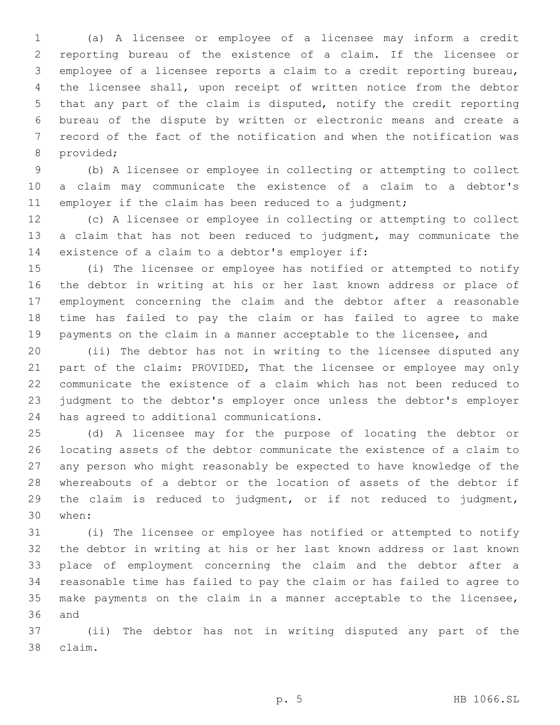(a) A licensee or employee of a licensee may inform a credit reporting bureau of the existence of a claim. If the licensee or employee of a licensee reports a claim to a credit reporting bureau, the licensee shall, upon receipt of written notice from the debtor that any part of the claim is disputed, notify the credit reporting bureau of the dispute by written or electronic means and create a record of the fact of the notification and when the notification was 8 provided;

 (b) A licensee or employee in collecting or attempting to collect a claim may communicate the existence of a claim to a debtor's 11 employer if the claim has been reduced to a judgment;

 (c) A licensee or employee in collecting or attempting to collect a claim that has not been reduced to judgment, may communicate the 14 existence of a claim to a debtor's employer if:

 (i) The licensee or employee has notified or attempted to notify the debtor in writing at his or her last known address or place of employment concerning the claim and the debtor after a reasonable time has failed to pay the claim or has failed to agree to make payments on the claim in a manner acceptable to the licensee, and

 (ii) The debtor has not in writing to the licensee disputed any 21 part of the claim: PROVIDED, That the licensee or employee may only communicate the existence of a claim which has not been reduced to judgment to the debtor's employer once unless the debtor's employer 24 has agreed to additional communications.

 (d) A licensee may for the purpose of locating the debtor or locating assets of the debtor communicate the existence of a claim to any person who might reasonably be expected to have knowledge of the whereabouts of a debtor or the location of assets of the debtor if the claim is reduced to judgment, or if not reduced to judgment, when:30

 (i) The licensee or employee has notified or attempted to notify the debtor in writing at his or her last known address or last known place of employment concerning the claim and the debtor after a reasonable time has failed to pay the claim or has failed to agree to make payments on the claim in a manner acceptable to the licensee, 36 and

 (ii) The debtor has not in writing disputed any part of the claim.38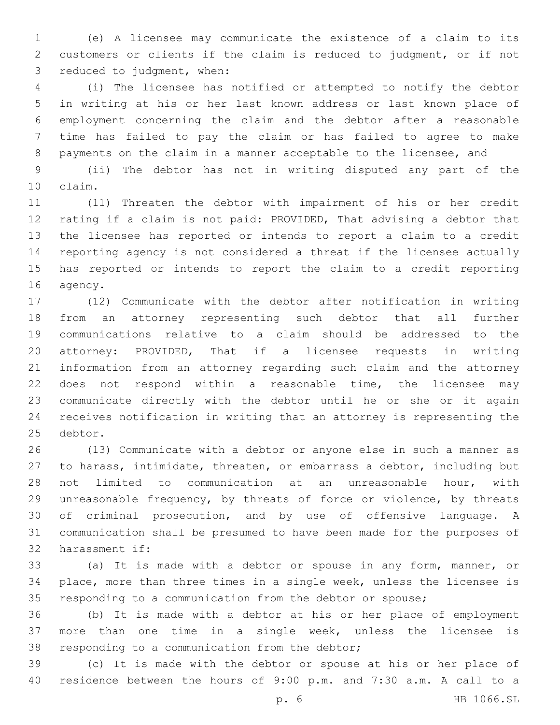(e) A licensee may communicate the existence of a claim to its customers or clients if the claim is reduced to judgment, or if not 3 reduced to judgment, when:

 (i) The licensee has notified or attempted to notify the debtor in writing at his or her last known address or last known place of employment concerning the claim and the debtor after a reasonable time has failed to pay the claim or has failed to agree to make payments on the claim in a manner acceptable to the licensee, and

 (ii) The debtor has not in writing disputed any part of the claim.10

 (11) Threaten the debtor with impairment of his or her credit rating if a claim is not paid: PROVIDED, That advising a debtor that the licensee has reported or intends to report a claim to a credit reporting agency is not considered a threat if the licensee actually has reported or intends to report the claim to a credit reporting 16 agency.

 (12) Communicate with the debtor after notification in writing from an attorney representing such debtor that all further communications relative to a claim should be addressed to the attorney: PROVIDED, That if a licensee requests in writing information from an attorney regarding such claim and the attorney does not respond within a reasonable time, the licensee may communicate directly with the debtor until he or she or it again receives notification in writing that an attorney is representing the 25 debtor.

 (13) Communicate with a debtor or anyone else in such a manner as to harass, intimidate, threaten, or embarrass a debtor, including but not limited to communication at an unreasonable hour, with unreasonable frequency, by threats of force or violence, by threats of criminal prosecution, and by use of offensive language. A communication shall be presumed to have been made for the purposes of 32 harassment if:

 (a) It is made with a debtor or spouse in any form, manner, or place, more than three times in a single week, unless the licensee is responding to a communication from the debtor or spouse;

 (b) It is made with a debtor at his or her place of employment more than one time in a single week, unless the licensee is 38 responding to a communication from the debtor;

 (c) It is made with the debtor or spouse at his or her place of residence between the hours of 9:00 p.m. and 7:30 a.m. A call to a

p. 6 HB 1066.SL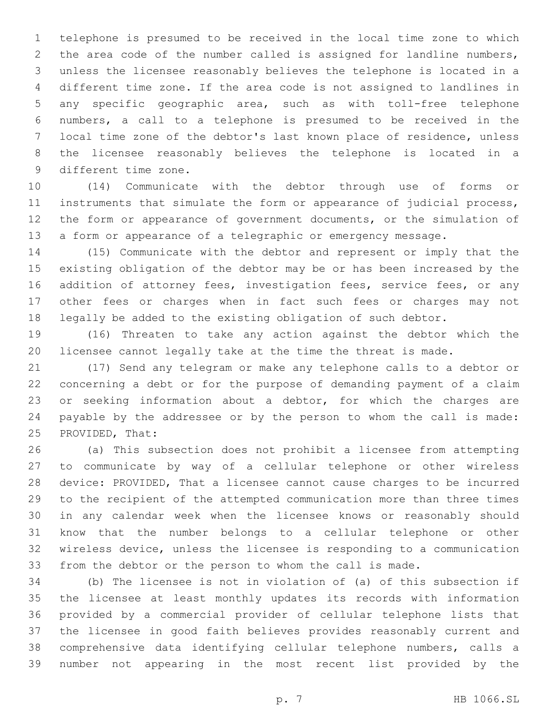telephone is presumed to be received in the local time zone to which the area code of the number called is assigned for landline numbers, unless the licensee reasonably believes the telephone is located in a different time zone. If the area code is not assigned to landlines in any specific geographic area, such as with toll-free telephone numbers, a call to a telephone is presumed to be received in the local time zone of the debtor's last known place of residence, unless the licensee reasonably believes the telephone is located in a 9 different time zone.

 (14) Communicate with the debtor through use of forms or instruments that simulate the form or appearance of judicial process, the form or appearance of government documents, or the simulation of a form or appearance of a telegraphic or emergency message.

 (15) Communicate with the debtor and represent or imply that the existing obligation of the debtor may be or has been increased by the 16 addition of attorney fees, investigation fees, service fees, or any other fees or charges when in fact such fees or charges may not legally be added to the existing obligation of such debtor.

 (16) Threaten to take any action against the debtor which the licensee cannot legally take at the time the threat is made.

 (17) Send any telegram or make any telephone calls to a debtor or concerning a debt or for the purpose of demanding payment of a claim 23 or seeking information about a debtor, for which the charges are payable by the addressee or by the person to whom the call is made: 25 PROVIDED, That:

 (a) This subsection does not prohibit a licensee from attempting to communicate by way of a cellular telephone or other wireless device: PROVIDED, That a licensee cannot cause charges to be incurred to the recipient of the attempted communication more than three times in any calendar week when the licensee knows or reasonably should know that the number belongs to a cellular telephone or other wireless device, unless the licensee is responding to a communication from the debtor or the person to whom the call is made.

 (b) The licensee is not in violation of (a) of this subsection if the licensee at least monthly updates its records with information provided by a commercial provider of cellular telephone lists that the licensee in good faith believes provides reasonably current and comprehensive data identifying cellular telephone numbers, calls a number not appearing in the most recent list provided by the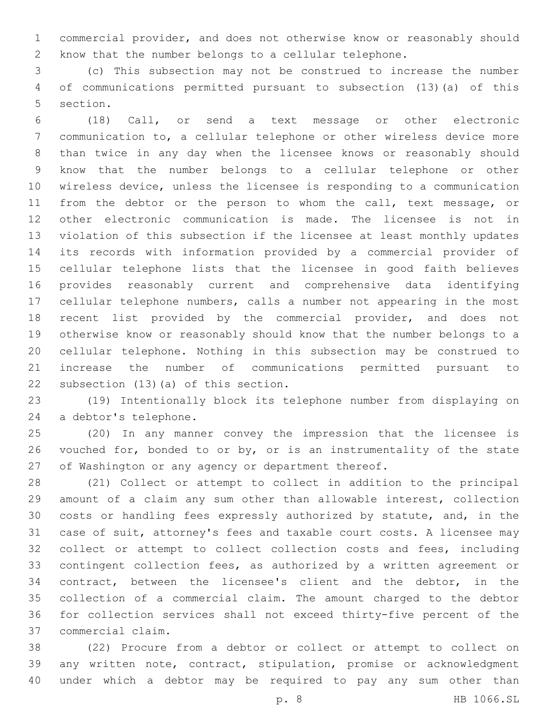commercial provider, and does not otherwise know or reasonably should know that the number belongs to a cellular telephone.

 (c) This subsection may not be construed to increase the number of communications permitted pursuant to subsection (13)(a) of this 5 section.

 (18) Call, or send a text message or other electronic communication to, a cellular telephone or other wireless device more than twice in any day when the licensee knows or reasonably should know that the number belongs to a cellular telephone or other wireless device, unless the licensee is responding to a communication 11 from the debtor or the person to whom the call, text message, or other electronic communication is made. The licensee is not in violation of this subsection if the licensee at least monthly updates its records with information provided by a commercial provider of cellular telephone lists that the licensee in good faith believes provides reasonably current and comprehensive data identifying cellular telephone numbers, calls a number not appearing in the most recent list provided by the commercial provider, and does not otherwise know or reasonably should know that the number belongs to a cellular telephone. Nothing in this subsection may be construed to increase the number of communications permitted pursuant to 22 subsection (13)(a) of this section.

 (19) Intentionally block its telephone number from displaying on 24 a debtor's telephone.

 (20) In any manner convey the impression that the licensee is 26 vouched for, bonded to or by, or is an instrumentality of the state of Washington or any agency or department thereof.

 (21) Collect or attempt to collect in addition to the principal amount of a claim any sum other than allowable interest, collection costs or handling fees expressly authorized by statute, and, in the case of suit, attorney's fees and taxable court costs. A licensee may 32 collect or attempt to collect collection costs and fees, including contingent collection fees, as authorized by a written agreement or contract, between the licensee's client and the debtor, in the collection of a commercial claim. The amount charged to the debtor for collection services shall not exceed thirty-five percent of the commercial claim.37

 (22) Procure from a debtor or collect or attempt to collect on any written note, contract, stipulation, promise or acknowledgment under which a debtor may be required to pay any sum other than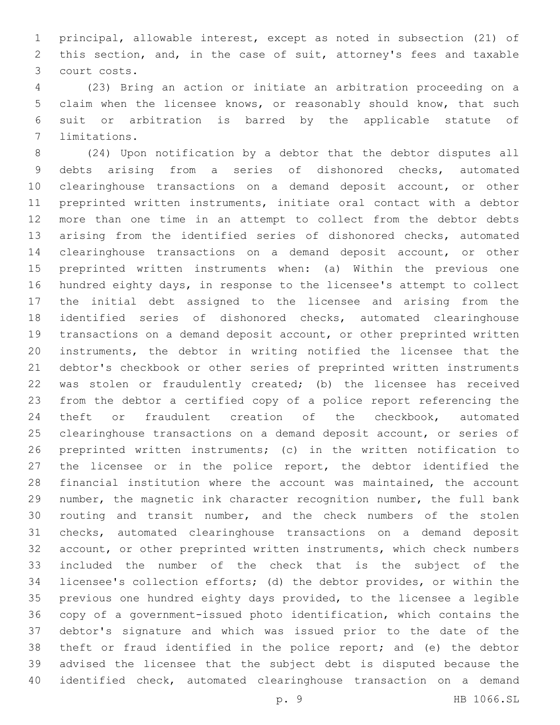principal, allowable interest, except as noted in subsection (21) of this section, and, in the case of suit, attorney's fees and taxable court costs.3

 (23) Bring an action or initiate an arbitration proceeding on a claim when the licensee knows, or reasonably should know, that such suit or arbitration is barred by the applicable statute of 7 limitations.

 (24) Upon notification by a debtor that the debtor disputes all debts arising from a series of dishonored checks, automated clearinghouse transactions on a demand deposit account, or other preprinted written instruments, initiate oral contact with a debtor more than one time in an attempt to collect from the debtor debts arising from the identified series of dishonored checks, automated clearinghouse transactions on a demand deposit account, or other preprinted written instruments when: (a) Within the previous one hundred eighty days, in response to the licensee's attempt to collect the initial debt assigned to the licensee and arising from the identified series of dishonored checks, automated clearinghouse transactions on a demand deposit account, or other preprinted written instruments, the debtor in writing notified the licensee that the debtor's checkbook or other series of preprinted written instruments was stolen or fraudulently created; (b) the licensee has received from the debtor a certified copy of a police report referencing the theft or fraudulent creation of the checkbook, automated clearinghouse transactions on a demand deposit account, or series of preprinted written instruments; (c) in the written notification to the licensee or in the police report, the debtor identified the financial institution where the account was maintained, the account number, the magnetic ink character recognition number, the full bank routing and transit number, and the check numbers of the stolen checks, automated clearinghouse transactions on a demand deposit account, or other preprinted written instruments, which check numbers included the number of the check that is the subject of the licensee's collection efforts; (d) the debtor provides, or within the previous one hundred eighty days provided, to the licensee a legible copy of a government-issued photo identification, which contains the debtor's signature and which was issued prior to the date of the theft or fraud identified in the police report; and (e) the debtor advised the licensee that the subject debt is disputed because the identified check, automated clearinghouse transaction on a demand

p. 9 HB 1066.SL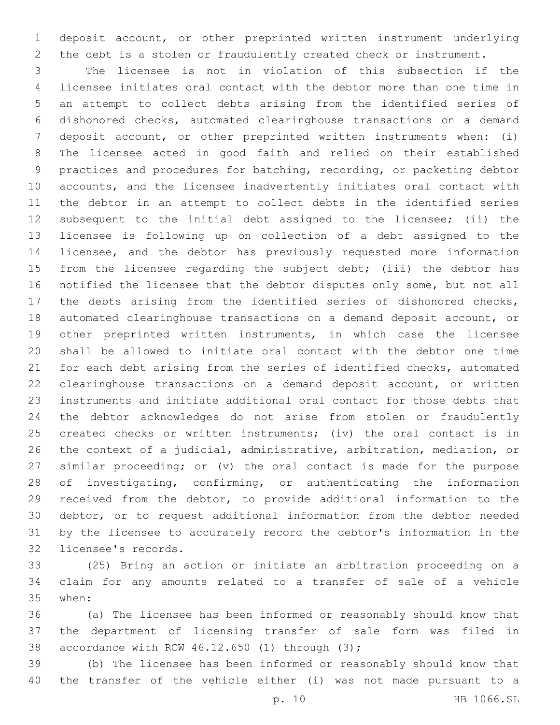deposit account, or other preprinted written instrument underlying the debt is a stolen or fraudulently created check or instrument.

 The licensee is not in violation of this subsection if the licensee initiates oral contact with the debtor more than one time in an attempt to collect debts arising from the identified series of dishonored checks, automated clearinghouse transactions on a demand deposit account, or other preprinted written instruments when: (i) The licensee acted in good faith and relied on their established practices and procedures for batching, recording, or packeting debtor accounts, and the licensee inadvertently initiates oral contact with the debtor in an attempt to collect debts in the identified series subsequent to the initial debt assigned to the licensee; (ii) the licensee is following up on collection of a debt assigned to the licensee, and the debtor has previously requested more information 15 from the licensee regarding the subject debt; (iii) the debtor has notified the licensee that the debtor disputes only some, but not all the debts arising from the identified series of dishonored checks, automated clearinghouse transactions on a demand deposit account, or other preprinted written instruments, in which case the licensee shall be allowed to initiate oral contact with the debtor one time for each debt arising from the series of identified checks, automated clearinghouse transactions on a demand deposit account, or written instruments and initiate additional oral contact for those debts that the debtor acknowledges do not arise from stolen or fraudulently created checks or written instruments; (iv) the oral contact is in the context of a judicial, administrative, arbitration, mediation, or similar proceeding; or (v) the oral contact is made for the purpose of investigating, confirming, or authenticating the information received from the debtor, to provide additional information to the debtor, or to request additional information from the debtor needed by the licensee to accurately record the debtor's information in the 32 licensee's records.

 (25) Bring an action or initiate an arbitration proceeding on a claim for any amounts related to a transfer of sale of a vehicle 35 when:

 (a) The licensee has been informed or reasonably should know that the department of licensing transfer of sale form was filed in 38 accordance with RCW  $46.12.650$  (1) through (3);

 (b) The licensee has been informed or reasonably should know that the transfer of the vehicle either (i) was not made pursuant to a

p. 10 HB 1066.SL